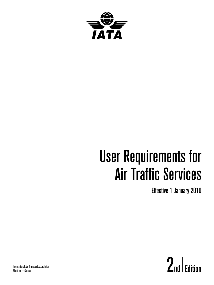

# User Requirements for Air Traffic Services

Effective 1 January 2010

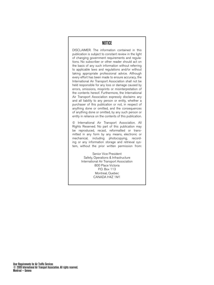# NOTICE

DISCLAIMER. The information contained in this publication is subject to constant review in the light of changing government requirements and regulations. No subscriber or other reader should act on the basis of any such information without referring to applicable laws and regulations and/or without taking appropriate professional advice. Although every effort has been made to ensure accuracy, the International Air Transport Association shall not be held responsible for any loss or damage caused by errors, omissions, misprints or misinterpretation of the contents hereof. Furthermore, the International Air Transport Association expressly disclaims any and all liability to any person or entity, whether a purchaser of this publication or not, in respect of anything done or omitted, and the consequences of anything done or omitted, by any such person or entity in reliance on the contents of this publication.

© International Air Transport Association. All Rights Reserved. No part of this publication may be reproduced, recast, reformatted or transmitted in any form by any means, electronic or mechanical, including photocopying, recording or any information storage and retrieval system, without the prior written permission from:

> Senior Vice President Safety, Operations & Infrastructure International Air Transport Association 800 Place Victoria P.O. Box 113 Montreal, Quebec CANADA H4Z 1M1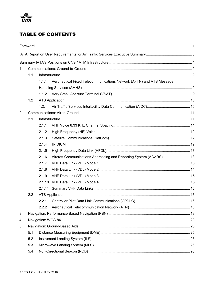# **TABLE OF CONTENTS**

| 1 <sub>1</sub> |     |        |                                                                      |  |  |  |
|----------------|-----|--------|----------------------------------------------------------------------|--|--|--|
|                | 1.1 |        |                                                                      |  |  |  |
|                |     | 1.1.1  | Aeronautical Fixed Telecommunications Network (AFTN) and ATS Message |  |  |  |
|                |     |        |                                                                      |  |  |  |
|                |     | 1.1.2  |                                                                      |  |  |  |
|                | 1.2 |        |                                                                      |  |  |  |
|                |     | 1.2.1  |                                                                      |  |  |  |
| 2.             |     |        |                                                                      |  |  |  |
|                | 2.1 |        |                                                                      |  |  |  |
|                |     | 2.1.1  |                                                                      |  |  |  |
|                |     | 2.1.2  |                                                                      |  |  |  |
|                |     | 2.1.3  |                                                                      |  |  |  |
|                |     | 2.1.4  |                                                                      |  |  |  |
|                |     | 2.1.5  |                                                                      |  |  |  |
|                |     | 2.1.6  | Aircraft Communications Addressing and Reporting System (ACARS) 13   |  |  |  |
|                |     | 2.1.7  |                                                                      |  |  |  |
|                |     | 2.1.8  |                                                                      |  |  |  |
|                |     | 2.1.9  |                                                                      |  |  |  |
|                |     | 2.1.10 |                                                                      |  |  |  |
|                |     |        |                                                                      |  |  |  |
|                | 2.2 |        |                                                                      |  |  |  |
|                |     | 2.2.1  |                                                                      |  |  |  |
|                |     | 2.2.2  |                                                                      |  |  |  |
| 3.             |     |        |                                                                      |  |  |  |
| 4.             |     |        |                                                                      |  |  |  |
| 5.             |     |        |                                                                      |  |  |  |
|                | 5.1 |        |                                                                      |  |  |  |
|                | 5.2 |        |                                                                      |  |  |  |
|                | 5.3 |        |                                                                      |  |  |  |
|                | 5.4 |        |                                                                      |  |  |  |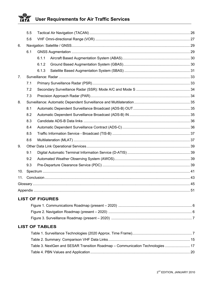#### ₩ **User Requirements for Air Traffic Services** IATA

|                | 5.5 |       |  |  |  |
|----------------|-----|-------|--|--|--|
|                | 5.6 |       |  |  |  |
| 6.             |     |       |  |  |  |
|                | 6.1 |       |  |  |  |
|                |     | 6.1.1 |  |  |  |
|                |     | 6.1.2 |  |  |  |
|                |     | 6.1.3 |  |  |  |
| 7 <sub>1</sub> |     |       |  |  |  |
|                | 7.1 |       |  |  |  |
|                | 7.2 |       |  |  |  |
|                | 7.3 |       |  |  |  |
| 8.             |     |       |  |  |  |
|                | 8.1 |       |  |  |  |
|                | 8.2 |       |  |  |  |
|                | 8.3 |       |  |  |  |
|                | 8.4 |       |  |  |  |
|                | 8.5 |       |  |  |  |
|                | 8.6 |       |  |  |  |
| 9.             |     |       |  |  |  |
|                | 9.1 |       |  |  |  |
|                | 9.2 |       |  |  |  |
|                | 9.3 |       |  |  |  |
| 10.            |     |       |  |  |  |
| 11.            |     |       |  |  |  |
|                |     |       |  |  |  |
|                |     |       |  |  |  |
|                |     |       |  |  |  |

# **LIST OF FIGURES**

# **LIST OF TABLES**

| Table 3. NextGen and SESAR Transition Roadmap – Communication Technologies  17 |  |
|--------------------------------------------------------------------------------|--|
|                                                                                |  |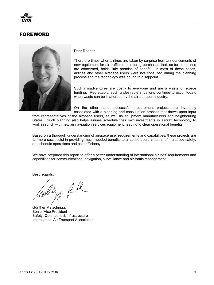

# FOREWORD



Dear Reader,

There are times when airlines are taken by surprise from announcements of new equipment for air traffic control being purchased that, as far as airlines are concerned, holds little promise of benefit. In most of these cases, airlines and other airspace users were not consulted during the planning process and the technology was bound to disappoint.

Such misadventures are costly to everyone and are a waste of scarce funding. Regrettably, such undesirable situations continue to occur today, when waste can be ill afforded by the air transport industry.

On the other hand, successful procurement projects are invariably associated with a planning and consultation process that draws upon input

from representatives of the airspace users, as well as equipment manufacturers and neighbouring States. Such planning also helps airlines schedule their own investments in aircraft technology to work in synch with new air navigation services equipment, leading to clear operational benefits.

Based on a thorough understanding of airspace user requirements and capabilities, these projects are far more successful in providing much-needed benefits to airspace users in terms of increased safety, on-schedule operations and cost efficiency.

We have prepared this report to offer a better understanding of international airlines' requirements and capabilities for communications, navigation, surveillance and air traffic management.

Best regards,

Günther Matschnigg, Senior Vice President Safety, Operations & Infrastructure International Air Transport Association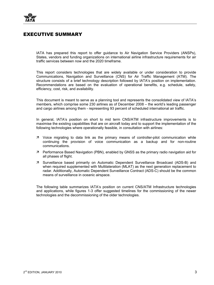![](_page_6_Picture_0.jpeg)

# EXECUTIVE SUMMARY

IATA has prepared this report to offer guidance to Air Navigation Service Providers (ANSPs), States, vendors and funding organizations on international airline infrastructure requirements for air traffic services between now and the 2020 timeframe.

This report considers technologies that are widely available or under consideration to provide Communications, Navigation and Surveillance (CNS) for Air Traffic Management (ATM). The structure consists of a brief technology description followed by IATA's position on implementation. Recommendations are based on the evaluation of operational benefits, e.g. schedule, safety, efficiency, cost, risk, and availability.

This document is meant to serve as a planning tool and represents the consolidated view of IATA's members, which comprise some 230 airlines as of December 2008 – the world's leading passenger and cargo airlines among them - representing 93 percent of scheduled international air traffic.

In general, IATA's position on short to mid term CNS/ATM infrastructure improvements is to maximise the existing capabilities that are on aircraft today and to support the implementation of the following technologies where operationally feasible, in consultation with airlines:

- $\overline{z}$  Voice migrating to data link as the primary means of controller-pilot communication while continuing the provision of voice communication as a backup and for non-routine communications.
- $\overline{z}$  Performance Based Navigation (PBN), enabled by GNSS as the primary radio navigation aid for all phases of flight.
- Ê Surveillance based primarily on Automatic Dependent Surveillance Broadcast (ADS-B) and when required supplemented with Multilateration (MLAT) as the next generation replacement to radar. Additionally, Automatic Dependent Surveillance Contract (ADS-C) should be the common means of surveillance in oceanic airspace.

The following table summarizes IATA's position on current CNS/ATM Infrastructure technologies and applications, while figures 1-3 offer suggested timelines for the commissioning of the newer technologies and the decommissioning of the older technologies.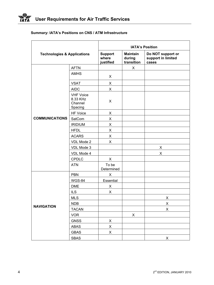|                                        |                                                    | <b>IATA's Position</b>                  |                                                  |             |  |
|----------------------------------------|----------------------------------------------------|-----------------------------------------|--------------------------------------------------|-------------|--|
| <b>Technologies &amp; Applications</b> | <b>Support</b><br>where<br>justified               | <b>Maintain</b><br>during<br>transition | Do NOT support or<br>support in limited<br>cases |             |  |
|                                        | <b>AFTN</b>                                        |                                         | X                                                |             |  |
|                                        | <b>AMHS</b>                                        | X                                       |                                                  |             |  |
|                                        | <b>VSAT</b>                                        | X                                       |                                                  |             |  |
|                                        | <b>AIDC</b>                                        | X                                       |                                                  |             |  |
|                                        | <b>VHF Voice</b><br>8.33 KHz<br>Channel<br>Spacing | X                                       |                                                  |             |  |
|                                        | HF Voice                                           | X                                       |                                                  |             |  |
| <b>COMMUNICATIONS</b>                  | SatCom                                             | X.                                      |                                                  |             |  |
|                                        | <b>IRIDIUM</b>                                     | X                                       |                                                  |             |  |
|                                        | <b>HFDL</b>                                        | X                                       |                                                  |             |  |
|                                        | <b>ACARS</b>                                       | X.                                      |                                                  |             |  |
|                                        | VDL Mode 2                                         | X                                       |                                                  |             |  |
|                                        | VDL Mode 3                                         |                                         |                                                  | X           |  |
|                                        | VDL Mode 4                                         |                                         |                                                  | X           |  |
|                                        | <b>CPDLC</b>                                       | X                                       |                                                  |             |  |
|                                        | <b>ATN</b>                                         | To be<br>Determined                     |                                                  |             |  |
|                                        | <b>PBN</b>                                         | X                                       |                                                  |             |  |
|                                        | WGS-84                                             | Essential                               |                                                  |             |  |
|                                        | <b>DME</b>                                         | X                                       |                                                  |             |  |
|                                        | <b>ILS</b>                                         | X                                       |                                                  |             |  |
|                                        | <b>MLS</b>                                         |                                         |                                                  | X           |  |
| <b>NAVIGATION</b>                      | <b>NDB</b>                                         |                                         |                                                  | X           |  |
|                                        | <b>TACAN</b>                                       |                                         |                                                  | $\mathsf X$ |  |
|                                        | <b>VOR</b>                                         |                                         | Χ                                                |             |  |
|                                        | <b>GNSS</b>                                        | X                                       |                                                  |             |  |
|                                        | ABAS                                               | X                                       |                                                  |             |  |
|                                        | <b>GBAS</b>                                        | X                                       |                                                  |             |  |
|                                        | <b>SBAS</b>                                        |                                         |                                                  | X           |  |

# **Summary: IATA's Positions on CNS / ATM Infrastructure**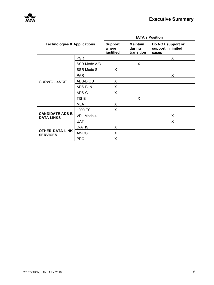|                                             |                                      | <b>IATA's Position</b>                  |                                                  |    |  |
|---------------------------------------------|--------------------------------------|-----------------------------------------|--------------------------------------------------|----|--|
| <b>Technologies &amp; Applications</b>      | <b>Support</b><br>where<br>justified | <b>Maintain</b><br>during<br>transition | Do NOT support or<br>support in limited<br>cases |    |  |
|                                             | <b>PSR</b>                           |                                         |                                                  | X. |  |
|                                             | SSR Mode A/C                         |                                         | X                                                |    |  |
|                                             | <b>SSR Mode S</b>                    | X                                       |                                                  |    |  |
|                                             | <b>PAR</b>                           |                                         |                                                  | X  |  |
| <b>SURVEILLANCE</b>                         | ADS-B OUT                            | X                                       |                                                  |    |  |
|                                             | ADS-B IN                             | X                                       |                                                  |    |  |
|                                             | ADS-C                                | X                                       |                                                  |    |  |
|                                             | TIS-B                                |                                         | X                                                |    |  |
|                                             | <b>MLAT</b>                          | X                                       |                                                  |    |  |
|                                             | 1090 ES                              | X                                       |                                                  |    |  |
| <b>CANDIDATE ADS-B</b><br><b>DATA LINKS</b> | VDL Mode 4                           |                                         |                                                  | X  |  |
|                                             | <b>UAT</b>                           |                                         |                                                  | X  |  |
|                                             | <b>D-ATIS</b>                        | X                                       |                                                  |    |  |
| <b>OTHER DATA LINK</b><br><b>SERVICES</b>   | <b>AWOS</b>                          | X                                       |                                                  |    |  |
|                                             | <b>PDC</b>                           | X                                       |                                                  |    |  |

7A 7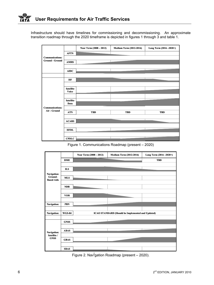Infrastructure should have timelines for commissioning and decommissioning. An approximate transition roadmap through the 2020 timeframe is depicted in figures 1 through 3 and table 1.

|                        |                                  | Near Term (2008 - 2012) | <b>Medium Term (2012-2016)</b> | Long Term (2016 - 2020+) |
|------------------------|----------------------------------|-------------------------|--------------------------------|--------------------------|
|                        | <b>AFTN</b>                      |                         |                                |                          |
| <b>Communications:</b> |                                  |                         |                                |                          |
| <b>Ground - Ground</b> | <b>AMHS</b>                      |                         |                                |                          |
|                        |                                  |                         |                                |                          |
|                        | <b>AIDC</b>                      |                         |                                |                          |
|                        |                                  |                         |                                |                          |
|                        | HF                               |                         |                                |                          |
|                        |                                  |                         |                                |                          |
|                        | <b>Satellite</b><br><b>Voice</b> |                         |                                |                          |
|                        |                                  |                         |                                |                          |
|                        | <b>Satellite</b><br>Data         |                         |                                |                          |
| <b>Communications:</b> |                                  |                         |                                |                          |
| Air - Ground           | <b>ATN</b>                       | <b>TBD</b>              | <b>TBD</b>                     | <b>TBD</b>               |
|                        |                                  |                         |                                |                          |
|                        | <b>ACARS</b>                     |                         |                                |                          |
|                        |                                  |                         |                                |                          |
|                        | <b>HFDL</b>                      |                         |                                |                          |
|                        |                                  |                         |                                |                          |
|                        | <b>CPDLC</b>                     |                         |                                |                          |

Figure 1. Communications Roadmap (present – 2020)

|                              |               | Near Term (2008 - 2012) | <b>Medium Term (2012-2016)</b>                           | Long Term (2016-2020+) |
|------------------------------|---------------|-------------------------|----------------------------------------------------------|------------------------|
|                              | <b>DME</b>    |                         |                                                          | <b>TBD</b>             |
|                              |               |                         |                                                          |                        |
|                              | <b>ILS</b>    |                         |                                                          |                        |
| Navigation:                  |               |                         |                                                          |                        |
| Ground-<br><b>Based Aids</b> | <b>MLS</b>    |                         |                                                          |                        |
|                              |               |                         |                                                          |                        |
|                              | NDB           |                         |                                                          |                        |
|                              |               |                         |                                                          |                        |
|                              | <b>VOR</b>    |                         |                                                          |                        |
|                              |               |                         |                                                          |                        |
| Navigation:                  | <b>PBN</b>    |                         |                                                          |                        |
| Navigation:                  | <b>WGS-84</b> |                         | <b>ICAO STANDARD (Should be Implemented and Updated)</b> |                        |
|                              |               |                         |                                                          |                        |
|                              | <b>GNSS</b>   |                         |                                                          |                        |
|                              |               |                         |                                                          |                        |
| Navigation:                  | <b>ABAS</b>   |                         |                                                          |                        |
| Satellite /                  |               |                         |                                                          |                        |
| <b>GNSS</b>                  | <b>GBAS</b>   |                         |                                                          |                        |
|                              |               |                         |                                                          |                        |
|                              | <b>SBAS</b>   |                         |                                                          |                        |

Figure 2. Nav<sup>i</sup>gation Roadmap (present – 2020).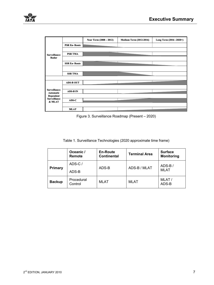![](_page_10_Figure_1.jpeg)

Figure 3. Surveillance Roadmap (Present – 2020)

| Table 1. Surveillance Technologies (2020 approximate time frame) |  |
|------------------------------------------------------------------|--|
|------------------------------------------------------------------|--|

|               | Oceanic /<br>Remote   | <b>En-Route</b><br><b>Continental</b> | <b>Terminal Area</b> | <b>Surface</b><br><b>Monitoring</b> |
|---------------|-----------------------|---------------------------------------|----------------------|-------------------------------------|
| Primary       | ADS-C/<br>ADS-B       | ADS-B                                 | ADS-B / MLAT         | $ADS-B/$<br><b>MLAT</b>             |
| <b>Backup</b> | Procedural<br>Control | <b>MLAT</b>                           | <b>MLAT</b>          | MLAT/<br>ADS-B                      |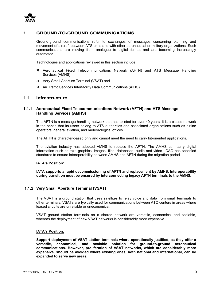![](_page_12_Picture_0.jpeg)

# **1. GROUND-TO-GROUND COMMUNICATIONS**

Ground-ground communications refer to exchanges of messages concerning planning and movement of aircraft between ATS units and with other aeronautical or military organizations. Such communications are moving from analogue to digital format and are becoming increasingly automated.

Technologies and applications reviewed in this section include:

- 7 Aeronautical Fixed Telecommunications Network (AFTN) and ATS Message Handling Services (AMHS)
- 7 Very Small Aperture Terminal (VSAT) and
- 7 Air Traffic Services Interfacility Data Communications (AIDC)

#### **1.1 Infrastructure**

#### **1.1.1 Aeronautical Fixed Telecommunications Network (AFTN) and ATS Message Handling Services (AMHS)**

The AFTN is a message-handling network that has existed for over 40 years. It is a closed network in the sense that its users belong to ATS authorities and associated organizations such as airline operators, general aviation, and meteorological offices.

The AFTN is character-based only and cannot meet the need to carry bit-oriented applications.

The aviation industry has adopted AMHS to replace the AFTN. The AMHS can carry digital information such as text, graphics, images, files, databases, audio and video. ICAO has specified standards to ensure interoperability between AMHS and AFTN during the migration period.

#### **IATA's Position:**

**IATA supports a rapid decommissioning of AFTN and replacement by AMHS. Interoperability during transition must be ensured by interconnecting legacy AFTN terminals to the AMHS.** 

# **1.1.2 Very Small Aperture Terminal (VSAT)**

The VSAT is a ground station that uses satellites to relay voice and data from small terminals to other terminals. VSATs are typically used for communications between ATC centers in areas where leased circuits are unreliable or uneconomical.

VSAT ground station terminals on a shared network are versatile, economical and scalable, whereas the deployment of new VSAT networks is considerably more expensive.

#### **IATA's Position:**

**Support deployment of VSAT station terminals where operationally justified, as they offer a versatile, economical, and scalable solution for ground-to-ground aeronautical communications. However, proliferation of VSAT networks, which are considerably more expensive, should be avoided where existing ones, both national and international, can be expanded to serve new areas.**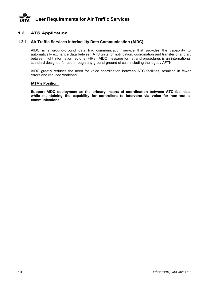# **1.2 ATS Application**

# **1.2.1 Air Traffic Services Interfacility Data Communication (AIDC)**

AIDC is a ground-ground data link communication service that provides the capability to automatically exchange data between ATS units for notification, coordination and transfer of aircraft between flight information regions (FIRs). AIDC message format and procedures is an international standard designed for use through any ground-ground circuit, including the legacy AFTN.

AIDC greatly reduces the need for voice coordination between ATC facilities, resulting in fewer errors and reduced workload.

#### **IATA's Position:**

**Support AIDC deployment as the primary means of coordination between ATC facilities, while maintaining the capability for controllers to intervene via voice for non-routine communications.**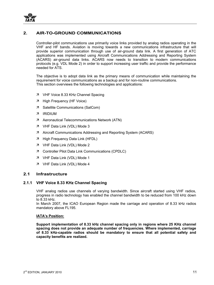![](_page_14_Picture_0.jpeg)

# **2. AIR-TO-GROUND COMMUNICATIONS**

Controller-pilot communications use primarily voice links provided by analog radios operating in the VHF and HF bands. Aviation is moving towards a new communications infrastructure that will provide superior communication through use of air-ground data link. A first generation of ATC applications was implemented using Aircraft Communications Addressing and Reporting System (ACARS) air-ground data links. ACARS now needs to transition to modern communications protocols (e.g. VDL Mode 2) in order to support increasing user traffic and provide the performance needed for ATS.

The objective is to adopt data link as the primary means of communication while maintaining the requirement for voice communications as a backup and for non-routine communications. This section overviews the following technologies and applications:

- 7 VHF Voice 8.33 KHz Channel Spacing
- 7 High Frequency (HF Voice)
- 7 Satellite Communications (SatCom)
- Ê IRIDIUM
- 7 Aeronautical Telecommunications Network (ATN)
- 7 VHF Data Link (VDL) Mode 3
- 7 Aircraft Communications Addressing and Reporting System (ACARS)
- 7 High Frequency Data Link (HFDL)
- $7$  VHF Data Link (VDL) Mode 2
- 7 Controller Pilot Data Link Communications (CPDLC)
- 7 VHF Data Link (VDL) Mode 1
- 7 VHF Data Link (VDL) Mode 4

# **2.1 Infrastructure**

#### **2.1.1 VHF Voice 8.33 KHz Channel Spacing**

VHF analog radios use channels of varying bandwidth. Since aircraft started using VHF radios, progress in radio technology has enabled the channel bandwidth to be reduced from 100 kHz down to 8.33 kHz.

In March 2007, the ICAO European Region made the carriage and operation of 8.33 kHz radios mandatory above FL195.

#### **IATA's Position:**

**Support implementation of 8.33 kHz channel spacing only in regions where 25 KHz channel spacing does not provide an adequate number of frequencies. Where implemented, carriage of 8.33 kHz-capable radios should be mandatory to ensure that all potential safety and capacity benefits are realized.**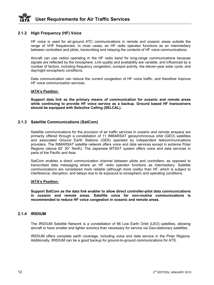# **2.1.2 High Frequency (HF) Voice**

HF voice is used for air-ground ATC communications in remote and oceanic areas outside the range of VHF frequencies. In most cases, an HF radio operator functions as an intermediary between controllers and pilots, transcribing and relaying the contents of HF voice communications.

Aircraft can use radios operating in the HF radio band for long-range communications because signals are reflected by the ionosphere. Link quality and availability are variable, and influenced by a number of factors, including frequency congestion, sunspot activity, the eleven-year solar cycle, and day/night ionospheric conditions.

Data communication can reduce the current congestion of HF voice traffic, and therefore improve HF voice communication services.

#### **IATA's Position:**

**Support data link as the primary means of communication for oceanic and remote areas while continuing to provide HF voice service as a backup. Ground based HF transceivers should be equipped with Selective Calling (SELCAL).** 

# **2.1.3 Satellite Communications (SatCom)**

Satellite communications for the provision of air traffic services in oceanic and remote airspace are primarily offered through a constellation of 11 INMARSAT geosynchronous orbit (GEO) satellites and associated Ground Earth Stations (GES) operated by independent telecommunications providers. The INMARSAT satellite network offers voice and data services except in extreme Polar Regions (above 82' 30'' North). The Japanese MTSAT system offers voice and data services in parts of the Pacific and Asia.

SatCom enables a direct communication channel between pilots and controllers, as opposed to transcribed data messaging where an HF radio operator functions as intermediary. Satellite communications are considered more reliable (although more costly) than HF, which is subject to interference, disruption, and delays due to its exposure to ionospheric and operating conditions.

#### **IATA's Position:**

**Support SatCom as the data link enabler to allow direct controller-pilot data communications in oceanic and remote areas. Satellite voice for non-routine communications is recommended to reduce HF voice congestion in oceanic and remote areas.**

#### **2.1.4 IRIDIUM**

The IRIDIUM Satellite Network is a constellation of 66 Low Earth Orbit (LEO) satellites, allowing aircraft to have smaller and lighter avionics than necessary for service via Geo-stationary satellites.

IRIDIUM offers complete earth coverage, including voice and data service in the Polar Regions. Additionally, IRIDIUM can be a good backup for ground-to-ground communications for ATS.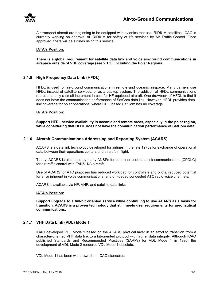![](_page_16_Picture_0.jpeg)

Air transport aircraft are beginning to be equipped with avionics that use IRIDIUM satellites. ICAO is currently working on approval of IRIDIUM for safety of life services by Air Traffic Control. Once approved, there will be airlines using this service.

#### **IATA's Position:**

**There is a global requirement for satellite data link and voice air-ground communications in airspace outside of VHF coverage (see 2.1.3), including the Polar Regions.** 

# **2.1.5 High Frequency Data Link (HFDL)**

HFDL is used for air-ground communications in remote and oceanic airspace. Many carriers use HFDL instead of satellite services, or as a backup system. The addition of HFDL communications represents only a small increment in cost for HF equipped aircraft. One drawback of HFDL is that it does not have the communication performance of SatCom data link. However, HFDL provides datalink coverage for polar operations, where GEO based SatCom has no coverage.

#### **IATA's Position:**

**Support HFDL service availability in oceanic and remote areas, especially in the polar region, while considering that HFDL does not have the communication performance of SatCom data.** 

# **2.1.6 Aircraft Communications Addressing and Reporting System (ACARS)**

ACARS is a data link technology developed for airlines in the late 1970s for exchange of operational data between their operations centers and aircraft in flight.

Today, ACARS is also used by many ANSPs for controller-pilot-data-link communications (CPDLC) for air traffic control with FANS-1/A aircraft.

Use of ACARS for ATC purposes has reduced workload for controllers and pilots, reduced potential for error inherent in voice communications, and off-loaded congested ATC radio voice channels.

ACARS is available via HF, VHF, and satellite data links.

#### **IATA's Position:**

**Support upgrade to a full-bit oriented service while continuing to use ACARS as a basis for transition. ACARS is a proven technology that still meets user requirements for aeronautical communications.** 

# **2.1.7 VHF Data Link (VDL) Mode 1**

ICAO developed VDL Mode 1 based on the ACARS physical layer in an effort to transition from a character-oriented VHF data link to a bit-oriented protocol with higher data integrity. Although ICAO published Standards and Recommended Practices (SARPs) for VDL Mode 1 in 1996, the development of VDL Mode 2 rendered VDL Mode 1 obsolete.

VDL Mode 1 has been withdrawn from ICAO standards.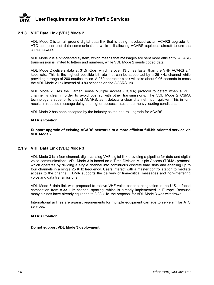# **User Requirements for Air Traffic Services**

# **2.1.8 VHF Data Link (VDL) Mode 2**

VDL Mode 2 is an air-ground digital data link that is being introduced as an ACARS upgrade for ATC controller-pilot data communications while still allowing ACARS equipped aircraft to use the same network.

VDL Mode 2 is a bit-oriented system, which means that messages are sent more efficiently. ACARS transmission is limited to letters and numbers, while VDL Mode 2 sends coded data.

VDL Mode 2 delivers data at 31.5 Kbps, which is over 13 times faster than the VHF ACARS 2.4 kbps rate. This is the highest possible bit rate that can be supported by a 25 kHz channel while providing a range of 200 nautical miles. A 250 character block will take about 0.06 seconds to cross the VDL Mode 2 link instead of 0.83 seconds on the ACARS link.

VDL Mode 2 uses the Carrier Sense Multiple Access (CSMA) protocol to detect when a VHF channel is clear in order to avoid overlap with other transmissions. The VDL Mode 2 CSMA technology is superior to that of ACARS, as it detects a clear channel much quicker. This in turn results in reduced message delay and higher success rates under heavy loading conditions.

VDL Mode 2 has been accepted by the industry as the natural upgrade for ACARS.

#### **IATA's Position:**

**Support upgrade of existing ACARS networks to a more efficient full-bit oriented service via VDL Mode 2.** 

# **2.1.9 VHF Data Link (VDL) Mode 3**

VDL Mode 3 is a four-channel, digital/analog VHF digital link providing a pipeline for data and digital voice communications. VDL Mode 3 is based on a Time Division Multiple Access (TDMA) protocol, which operates by dividing a single channel into continuous discrete time slots and enabling up to four channels in a single 25 KHz frequency. Users interact with a master control station to mediate access to the channel. TDMA supports the delivery of time-critical messages and non-interfering voice and data transmissions.

VDL Mode 3 data link was proposed to relieve VHF voice channel congestion in the U.S. It faced competition from 8.33 kHz channel spacing, which is already implemented in Europe. Because many airlines have already equipped to 8.33 kHz, the proposal for VDL Mode 3 was withdrawn.

International airlines are against requirements for multiple equipment carriage to serve similar ATS services.

#### **IATA's Position:**

**Do not support VDL Mode 3 deployment.**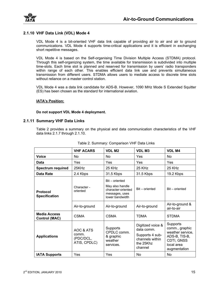![](_page_18_Picture_0.jpeg)

# **2.1.10 VHF Data Link (VDL) Mode 4**

VDL Mode 4 is a bit-oriented VHF data link capable of providing air to air and air to ground communications. VDL Mode 4 supports time-critical applications and it is efficient in exchanging short repetitive messages.

VDL Mode 4 is based on the Self-organising Time Division Multiple Access (STDMA) protocol. Through this self-organizing system, the time available for transmission is subdivided into multiple time-slots. Each time slot is planned and reserved for transmission by users' radio transponders within range of each other. This enables efficient data link use and prevents simultaneous transmission from different users. STDMA allows users to mediate access to discrete time slots without reliance on a master control station.

VDL Mode 4 was a data link candidate for ADS-B. However, 1090 MHz Mode S Extended Squitter (ES) has been chosen as the standard for international aviation.

#### **IATA's Position:**

#### **Do not support VDL Mode 4 deployment.**

#### **2.1.11 Summary VHF Data Links**

Table 2 provides a summary on the physical and data communication characteristics of the VHF data links 2.1.7 through 2.1.10.

|                                             | <b>VHF ACARS</b>                                | <b>VDLM2</b>                                                                                 | <b>VDLM3</b>                                                                                  | <b>VDLM4</b>                                                                                                |
|---------------------------------------------|-------------------------------------------------|----------------------------------------------------------------------------------------------|-----------------------------------------------------------------------------------------------|-------------------------------------------------------------------------------------------------------------|
| <b>Voice</b>                                | N <sub>o</sub>                                  | No.                                                                                          | Yes                                                                                           | N <sub>o</sub>                                                                                              |
| Data                                        | Yes                                             | Yes                                                                                          | Yes                                                                                           | Yes                                                                                                         |
| <b>Spectrum required</b>                    | 25KHz                                           | 25 KHz                                                                                       | 25 KHz                                                                                        | 25 KHz                                                                                                      |
| Data Rate                                   | 2.4 Kbps                                        | 31.5 Kbps                                                                                    | 31.5 Kbps                                                                                     | 19.2 Kbps                                                                                                   |
| <b>Protocol</b><br><b>Specification</b>     | Character -<br>oriented                         | Bit - oriented<br>May also handle<br>character-oriented<br>messages, uses<br>lower bandwidth | Bit - oriented                                                                                | Bit - oriented                                                                                              |
|                                             | Air-to-ground                                   | Air-to-ground                                                                                | Air-to-ground                                                                                 | Air-to-ground &<br>air-to-air                                                                               |
| <b>Media Access</b><br><b>Control (MAC)</b> | <b>CSMA</b>                                     | CSMA                                                                                         | <b>TDMA</b>                                                                                   | <b>STDMA</b>                                                                                                |
| <b>Applications</b>                         | AOC & ATS<br>comm.<br>(PDC/DCL,<br>ATIS, CPDLC) | Supports<br>CPDLC comm.<br>& graphic<br>weather<br>services.                                 | Digitized voice &<br>data comm.<br>Supports 4 sub-<br>channels within<br>the 25Khz<br>channel | Supports<br>comm., graphic<br>weather service,<br>ADS-B, TIS-B,<br>CDTI, GNSS<br>local area<br>augmentation |
| <b>IATA Supports</b>                        | Yes                                             | Yes                                                                                          | N <sub>o</sub>                                                                                | <b>No</b>                                                                                                   |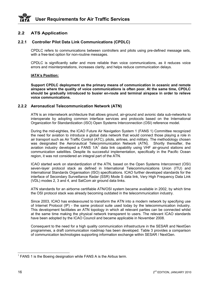# **2.2 ATS Application**

# **2.2.1 Controller Pilot Data Link Communications (CPDLC)**

CPDLC refers to communications between controllers and pilots using pre-defined message sets, with a free-text option for non-routine messages.

CPDLC is significantly safer and more reliable than voice communications, as it reduces voice errors and misinterpretations, increases clarity, and helps reduce communication delays.

#### **IATA's Position:**

**Support CPDLC deployment as the primary means of communication in oceanic and remote airspace where the quality of voice communications is often poor. At the same time, CPDLC should be gradually introduced to busier en-route and terminal airspace in order to relieve voice communications.** 

#### **2.2.2 Aeronautical Telecommunication Network (ATN)**

ATN is an internetwork architecture that allows ground, air-ground and avionic data sub-networks to interoperate by adopting common interface services and protocols based on the International Organization for Standardization (ISO) Open Systems Interconnection (OSI) reference model.

During the mid-eighties, the ICAO Future Air Navigation System 1 (FANS 1) Committee recognized the need for aviation to introduce a global data network that would connect those playing a role in air transport such as Air Traffic Control (ATC), pilots, airlines, and military. The methodology chosen was designated the Aeronautical Telecommunication Network (ATN). Shortly thereafter, the aviation industry developed a FANS  $1/A<sup>1</sup>$  data link capability using VHF air-ground stations and communication satellites. Despite its successful implementation, specifically in the Pacific Ocean region, it was not considered an integral part of the ATN.

ICAO started work on standardization of the ATN, based on the Open Systems Interconnect (OSI) seven-layer protocol stack as defined in International Telecommunications Union (ITU) and International Standards Organisation (ISO) specifications. ICAO further developed standards for the interface of Secondary Surveillance Radar (SSR) Mode S data link, Very High Frequency Data Link (VDL) modes 2, 3 and 4, and SatCom air ground data links.

ATN standards for an airborne certifiable ATN/OSI system became available in 2002, by which time the OSI protocol stack was already becoming outdated in the telecommunication industry.

Since 2003, ICAO has endeavoured to transform the ATN into a modern network by specifying use of Internet Protocol (IP) - the same protocol suite used today by the telecommunication industry. This development facilitates an ATN topology in which all relevant parties can be connected whilst at the same time making the physical network transparent to users. The relevant ICAO standards have been adopted by the ICAO Council and became applicable in November 2008.

Consequent to the need for a high quality communication infrastructure in the SESAR and NextGen programmes, a draft communication roadmap has been developed. Table 3 provides a comparison of communication technologies supporting information exchange within SESAR / NextGen.

 $<sup>1</sup>$  FANS 1 is the Boeing designation while FANS A is the Airbus term.</sup>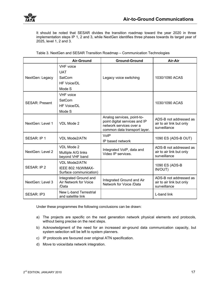![](_page_20_Picture_0.jpeg)

It should be noted that SESAR divides the transition roadmap toward the year 2020 in three implementation steps IP 1, 2 and 3, while NextGen identifies three phases towards its target year of 2025, level 1, 2 and 3.

|                       | <b>Air-Ground</b>                                                        | <b>Ground-Ground</b>                                                                                                   | Air-Air                                                            |
|-----------------------|--------------------------------------------------------------------------|------------------------------------------------------------------------------------------------------------------------|--------------------------------------------------------------------|
| NextGen: Legacy       | <b>VHF</b> voice<br><b>UAT</b><br>SatCom<br><b>HF Voice/DL</b><br>Mode S | Legacy voice switching                                                                                                 | 1030/1090 ACAS                                                     |
| <b>SESAR: Present</b> | <b>VHF</b> voice<br>SatCom<br>HF Voice/DL<br>Mode S                      |                                                                                                                        | 1030/1090 ACAS                                                     |
| NextGen: Level 1      | VDL Mode 2                                                               | Analog services, point-to-<br>point digital services and IP<br>network services over a<br>common data transport layer. | ADS-B not addressed as<br>air to air link but only<br>surveillance |
| SESAR: IP 1           | <b>VDL Mode2/ATN</b>                                                     | VoIP<br>IP based network                                                                                               | 1090 ES (ADS-B OUT)                                                |
| NextGen: Level 2      | VDL Mode 2<br>Multiple A/G links<br>beyond VHF band                      | Integrated VoIP, data and<br>Video IP services.                                                                        | ADS-B not addressed as<br>air to air link but only<br>surveillance |
| SESAR: IP 2           | <b>VDL Mode2/ATN</b><br>IEEE 802.16(WIMAX-<br>Surface communication)     |                                                                                                                        | 1090 ES (ADS-B<br>IN/OUT)                                          |
| NextGen: Level 3      | Integrated Ground and<br>Air Network for Voice<br>/Data                  | Integrated Ground and Air<br>Network for Voice /Data                                                                   | ADS-B not addressed as<br>air to air link but only<br>surveillance |
| <b>SESAR: IP3</b>     | <b>New L-band Terrestrial</b><br>and satellite link                      |                                                                                                                        | L-band link                                                        |

Table 3. NextGen and SESAR Transition Roadmap – Communication Technologies

Under these programmes the following conclusions can be drawn:

- a) The projects are specific on the next generation network physical elements and protocols, without being precise on the next steps.
- b) Acknowledgment of the need for an increased air-ground data communication capacity, but system selection will be left to system planners.
- c) IP protocols are favoured over original ATN specification.
- d) Move to voice/data network integration.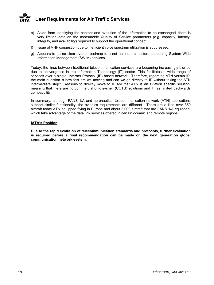- e) Aside from identifying the content and evolution of the information to be exchanged, there is very limited data on the measurable Quality of Service parameters (e.g. capacity, latency, integrity, and availability) required to support the operational concept.
- f) Issue of VHF congestion due to inefficient voice spectrum utilization is suppressed.
- g) Appears to be no clear overall roadmap to a net centric architecture supporting System Wide Information Management (SWIM) services.

Today, the lines between traditional telecommunication services are becoming increasingly blurred due to convergence in the Information Technology (IT) sector. This facilitates a wide range of services over a single, Internet Protocol (IP) based network. Therefore, regarding ATN versus IP, the main question is how fast are we moving and can we go directly to IP without taking the ATN intermediate step? Reasons to directly move to IP are that ATN is an aviation specific solution, meaning that there are no commercial off-the-shelf (COTS) solutions and it has limited backwards compatibility.

In summary, although FANS 1/A and aeronautical telecommunication network (ATN) applications support similar functionality, the avionics requirements are different. There are a little over 350 aircraft today ATN equipped flying in Europe and about 3,000 aircraft that are FANS 1/A equipped, which take advantage of the data link services offered in certain oceanic and remote regions.

#### **IATA's Position**

**Due to the rapid evolution of telecommunication standards and protocols, further evaluation is required before a final recommendation can be made on the next generation global communication network system.**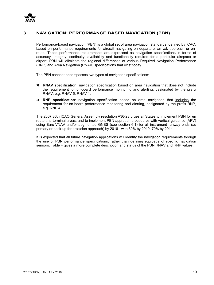# **3. NAVIGATION: PERFORMANCE BASED NAVIGATION (PBN)**

Performance-based navigation (PBN) is a global set of area navigation standards, defined by ICAO, based on performance requirements for aircraft navigating on departure, arrival, approach or enroute. These performance requirements are expressed as navigation specifications in terms of accuracy, integrity, continuity, availability and functionality required for a particular airspace or airport. PBN will eliminate the regional differences of various Required Navigation Performance (RNP) and Area Navigation (RNAV) specifications that exist today.

The PBN concept encompasses two types of navigation specifications:

- Ê **RNAV specification**: navigation specification based on area navigation that does not include the requirement for on-board performance monitoring and alerting, designated by the prefix RNAV, e.g. RNAV 5, RNAV 1.
- Ê **RNP specification**: navigation specification based on area navigation that includes the requirement for on-board performance monitoring and alerting, designated by the prefix RNP, e.g. RNP 4.

The 2007 36th ICAO General Assembly resolution A36-23 urges all States to implement PBN for en route and terminal areas, and to implement PBN approach procedures with vertical guidance (APV) using Baro-VNAV and/or augmented GNSS (see section 6.1) for all instrument runway ends (as primary or back-up for precision approach) by 2016 - with 30% by 2010, 70% by 2014.

It is expected that all future navigation applications will identify the navigation requirements through the use of PBN performance specifications, rather than defining equipage of specific navigation sensors. Table 4 gives a more complete description and status of the PBN RNAV and RNP values.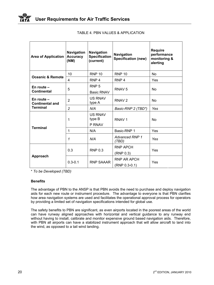| <b>Area of Application</b>             | <b>Navigation</b><br><b>Accuracy</b><br>(NM) | <b>Navigation</b><br><b>Specification</b><br>(current) | <b>Navigation</b><br><b>Specification (new)</b>    | <b>Require</b><br>performance<br>monitoring &<br>alerting |
|----------------------------------------|----------------------------------------------|--------------------------------------------------------|----------------------------------------------------|-----------------------------------------------------------|
| <b>Oceanic &amp; Remote</b>            | 10                                           | <b>RNP 10</b>                                          | <b>RNP 10</b>                                      | N <sub>o</sub>                                            |
|                                        | 4                                            | RNP <sub>4</sub>                                       | RNP <sub>4</sub>                                   | Yes                                                       |
| En route $-$<br><b>Continental</b>     | 5                                            | RNP <sub>5</sub><br><b>Basic RNAV</b>                  | RNAV <sub>5</sub>                                  | No                                                        |
| En route $-$<br><b>Continental and</b> | $\overline{2}$                               | <b>US RNAV</b><br>type A                               | RNAV <sub>2</sub>                                  | <b>No</b>                                                 |
| <b>Terminal</b>                        | $\overline{c}$                               | N/A                                                    | Basic-RNP 2 (TBD*)                                 | Yes                                                       |
|                                        | 1                                            | <b>US RNAV</b><br>type B<br>P RNAV                     | RNAV <sub>1</sub>                                  | N <sub>0</sub>                                            |
| <b>Terminal</b>                        | 1                                            | N/A                                                    | Basic-RNP 1                                        | Yes                                                       |
|                                        | 1                                            | N/A                                                    | <b>Advanced RNP 1</b><br>(TBD)                     | Yes                                                       |
| Approach                               | 0.3                                          | <b>RNP 0.3</b>                                         | RNP APCH                                           | Yes                                                       |
|                                        | $0.3 - 0.1$                                  | <b>RNP SAAAR</b>                                       | (RNP 0.3)<br><b>RNP AR APCH</b><br>$(RNP 0.3-0.1)$ | Yes                                                       |

|  | TABLE 4. PBN VALUES & APPLICATION. |  |  |
|--|------------------------------------|--|--|
|--|------------------------------------|--|--|

\* *To be Developed (TBD)*

# **Benefits**

The advantage of PBN to the ANSP is that PBN avoids the need to purchase and deploy navigation aids for each new route or instrument procedure. The advantage to everyone is that PBN clarifies how area navigation systems are used and facilitates the operational approval process for operators by providing a limited set of navigation specifications intended for global use.

The safety benefits to PBN are significant, as even airports located in the poorest areas of the world can have runway aligned approaches with horizontal and vertical guidance to any runway end without having to install, calibrate and monitor expensive ground based navigation aids. Therefore, with PBN all airports can have a stabilized instrument approach that will allow aircraft to land into the wind, as opposed to a tail wind landing.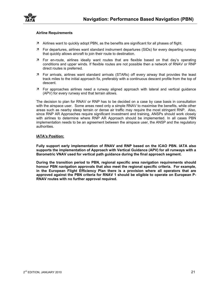![](_page_24_Picture_0.jpeg)

#### **Airline Requirements**

- $\overline{z}$  Airlines want to quickly adopt PBN, as the benefits are significant for all phases of flight.
- Ê For departures, airlines want standard instrument departures (SIDs) for every departing runway that quickly allows aircraft to join their route to destination.
- $\overline{z}$  For en-route, airlines ideally want routes that are flexible based on that day's operating conditions and upper winds. If flexible routes are not possible then a network of RNAV or RNP direct routes is preferred.
- $\overline{z}$  For arrivals, airlines want standard arrivals (STARs) off every airway that provides the least track miles to the initial approach fix, preferably with a continuous descent profile from the top of descent.
- $\overline{z}$  For approaches airlines need a runway aligned approach with lateral and vertical guidance (APV) for every runway end that terrain allows.

The decision to plan for RNAV or RNP has to be decided on a case by case basis in consultation with the airspace user. Some areas need only a simple RNAV to maximise the benefits, while other areas such as nearby steep terrain or dense air traffic may require the most stringent RNP. Also, since RNP AR Approaches require significant investment and training, ANSPs should work closely with airlines to determine where RNP AR Approach should be implemented. In all cases PBN implementation needs to be an agreement between the airspace user, the ANSP and the regulatory authorities.

#### **IATA's Position:**

**Fully support early implementation of RNAV and RNP based on the ICAO PBN. IATA also supports the implementation of Approach with Vertical Guidance (APV) for all runways with a Barometric VNAV used for vertical path guidance during the final approach segment.** 

**During the transition period to PBN, regional specific area navigation requirements should honour PBN navigation approvals that also meet the regional specific criteria. For example, in the European Flight Efficiency Plan there is a provision where all operators that are approved against the PBN criteria for RNAV 1 should be eligible to operate on European P-RNAV routes with no further approval required.**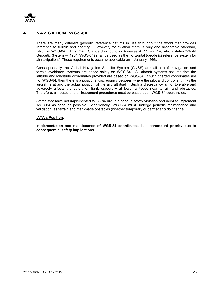![](_page_26_Picture_0.jpeg)

# **4. NAVIGATION: WGS-84**

There are many different geodetic reference datums in use throughout the world that provides reference to terrain and charting. However, for aviation there is only one acceptable standard, which is WGS-84. This ICAO Standard is found in Annexes 4, 11 and 14, which states "World Geodetic System — 1984 (WGS-84) shall be used as the horizontal (geodetic) reference system for air navigation." These requirements became applicable on 1 January 1998.

Consequentially the Global Navigation Satellite System (GNSS) and all aircraft navigation and terrain avoidance systems are based solely on WGS-84. All aircraft systems assume that the latitude and longitude coordinates provided are based on WGS-84. If such charted coordinates are not WGS-84, then there is a positional discrepancy between where the pilot and controller thinks the aircraft is at and the actual position of the aircraft itself. Such a discrepancy is not tolerable and adversely affects the safety of flight, especially at lower altitudes near terrain and obstacles. Therefore, all routes and all instrument procedures must be based upon WGS-84 coordinates.

States that have not implemented WGS-84 are in a serious safety violation and need to implement WGS-84 as soon as possible. Additionally, WGS-84 must undergo periodic maintenance and validation, as terrain and man-made obstacles (whether temporary or permanent) do change.

#### **IATA's Position:**

**Implementation and maintenance of WGS-84 coordinates is a paramount priority due to consequential safety implications.**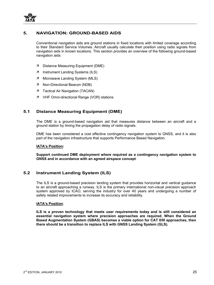![](_page_28_Picture_0.jpeg)

# **5. NAVIGATION: GROUND-BASED AIDS**

Conventional navigation aids are ground stations in fixed locations with limited coverage according to their Standard Service Volumes. Aircraft usually calculate their position using radio signals from navigation aids in known locations. This section provides an overview of the following ground-based navigation aids:

- 7 Distance Measuring Equipment (DME)
- 7 Instrument Landing Systems (ILS)
- 7 Microwave Landing System (MLS)
- 7 Non-Directional Beacon (NDB)
- 7 Tactical Air Navigation (TACAN)
- 7 VHF Omni-directional Range (VOR) stations

# **5.1 Distance Measuring Equipment (DME)**

The DME is a ground-based navigation aid that measures distance between an aircraft and a ground station by timing the propagation delay of radio signals.

DME has been considered a cost effective contingency navigation system to GNSS, and it is also part of the navigation infrastructure that supports Performance Based Navigation.

#### **IATA's Position:**

**Support continued DME deployment where required as a contingency navigation system to GNSS and in accordance with an agreed airspace concept***.* 

# **5.2 Instrument Landing System (ILS)**

The ILS is a ground-based precision landing system that provides horizontal and vertical guidance to an aircraft approaching a runway. ILS is the primary international non-visual precision approach system approved by ICAO, serving the industry for over 40 years and undergoing a number of safety related improvements to increase its accuracy and reliability.

#### **IATA's Position***:*

**ILS is a proven technology that meets user requirements today and is still considered an essential navigation system where precision approaches are required. When the Ground Based Augmentation System (GBAS) becomes a viable option for CAT II/III approaches, then there should be a transition to replace ILS with GNSS Landing System (GLS).**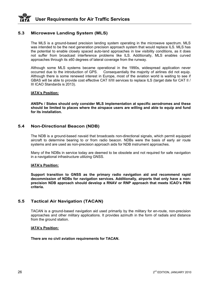# **5.3 Microwave Landing System (MLS)**

The MLS is a ground-based precision landing system operating in the microwave spectrum. MLS was intended to be the next generation precision approach system that would replace ILS. MLS has the potential to enable closely spaced auto-land approaches in low visibility conditions, as it does not suffer from broadcast interference problems like ILS. Additionally, MLS enables curved approaches through its ±60 degrees of lateral coverage from the runway.

Although some MLS systems became operational in the 1990s, widespread application never occurred due to the introduction of GPS. Consequentially the majority of airlines did not equip. Although there is some renewed interest in Europe, most of the aviation world is waiting to see if GBAS will be able to provide cost effective CAT II/III services to replace ILS (target date for CAT II / III ICAO Standards is 2013).

#### **IATA's Position:**

**ANSPs / States should only consider MLS implementation at specific aerodromes and these should be limited to places where the airspace users are willing and able to equip and fund for its installation.** 

# **5.4 Non-Directional Beacon (NDB)**

The NDB is a ground-based navaid that broadcasts non-directional signals, which permit equipped aircraft to determine bearing to or from radio beacon. NDBs were the basis of early air route systems and are used as non-precision approach aids for NDB instrument approaches.

Many of the NDBs in service today are deemed to be obsolete and not required for safe navigation in a navigational infrastructure utilizing GNSS.

#### **IATA's Position:**

**Support transition to GNSS as the primary radio navigation aid and recommend rapid decommission of NDBs for navigation services. Additionally, airports that only have a nonprecision NDB approach should develop a RNAV or RNP approach that meets ICAO's PBN criteria.** 

# **5.5 Tactical Air Navigation (TACAN)**

TACAN is a ground-based navigation aid used primarily by the military for en-route, non-precision approaches and other military applications. It provides azimuth in the form of radials and distance from the ground station.

#### **IATA's Position:**

**There are no civil aviation requirements for TACAN.**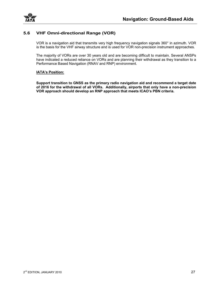![](_page_30_Picture_0.jpeg)

# **5.6 VHF Omni-directional Range (VOR)**

VOR is a navigation aid that transmits very high frequency navigation signals 360° in azimuth. VOR is the basis for the VHF airway structure and is used for VOR non-precision instrument approaches.

The majority of VORs are over 30 years old and are becoming difficult to maintain. Several ANSPs have indicated a reduced reliance on VORs and are planning their withdrawal as they transition to a Performance Based Navigation (RNAV and RNP) environment.

#### **IATA's Position:**

**Support transition to GNSS as the primary radio navigation aid and recommend a target date of 2016 for the withdrawal of all VORs. Additionally, airports that only have a non-precision VOR approach should develop an RNP approach that meets ICAO's PBN criteria.**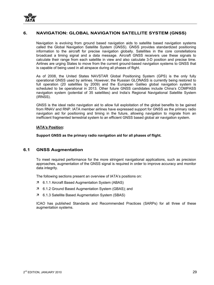![](_page_32_Picture_0.jpeg)

# **6. NAVIGATION: GLOBAL NAVIGATION SATELLITE SYSTEM (GNSS)**

Navigation is evolving from ground based navigation aids to satellite based navigation systems called the Global Navigation Satellite System (GNSS). GNSS provides standardized positioning information to the aircraft for precise navigation globally. Satellites in the core constellations broadcast a timing signal and a data message. Aircraft GNSS receivers use these signals to calculate their range from each satellite in view and also calculate 3-D position and precise time. Airlines are urging States to move from the current ground-based navigation systems to GNSS that is capable of being used in all airspace during all phases of flight.

As of 2008, the United States NAVSTAR Global Positioning System (GPS) is the only fully operational GNSS used by airlines. However, the Russian GLONASS is currently being restored to full operation (20 satellites by 2009) and the European Galileo global navigation system is scheduled to be operational in 2013. Other future GNSS candidates include China's COMPASS navigation system (potential of 35 satellites) and India's Regional Navigational Satellite System (IRNSS).

GNSS is the ideal radio navigation aid to allow full exploitation of the global benefits to be gained from RNAV and RNP. IATA member airlines have expressed support for GNSS as the primary radio navigation aid for positioning and timing in the future, allowing navigation to migrate from an inefficient fragmented terrestrial system to an efficient GNSS based global air navigation system.

#### **IATA's Position:**

**Support GNSS as the primary radio navigation aid for all phases of flight.** 

# **6.1 GNSS Augmentation**

To meet required performance for the more stringent navigational applications, such as precision approaches, augmentation of the GNSS signal is required in order to improve accuracy and monitor data integrity.

The following sections present an overview of IATA's positions on:

- 7 6.1.1 Aircraft Based Augmentation System (ABAS)
- 7 6.1.2 Ground Based Augmentation System (GBAS); and
- 7 6.1.3 Satellite Based Augmentation System (SBAS)

ICAO has published Standards and Recommended Practices (SARPs) for all three of these augmentation systems.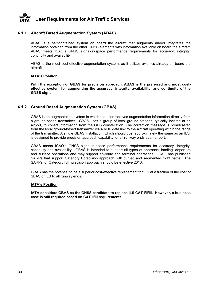![](_page_33_Picture_0.jpeg)

#### **6.1.1 Aircraft Based Augmentation System (ABAS)**

ABAS is a self-contained system on board the aircraft that augments and/or integrates the information obtained from the other GNSS elements with information available on board the aircraft. ABAS meets ICAO's GNSS signal-in-space performance requirements for accuracy, integrity, continuity and availability.

ABAS is the most cost-effective augmentation system, as it utilizes avionics already on board the aircraft.

#### **IATA's Position:**

**With the exception of GBAS for precision approach, ABAS is the preferred and most costeffective system for augmenting the accuracy, integrity, availability, and continuity of the GNSS signal.** 

#### **6.1.2 Ground Based Augmentation System (GBAS)**

GBAS is an augmentation system in which the user receives augmentation information directly from a ground-based transmitter. GBAS uses a group of local ground stations, typically located at an airport, to collect information from the GPS constellation. The correction message is broadcasted from the local ground-based transmitter via a VHF data link to the aircraft operating within the range of the transmitter. A single GBAS installation, which should cost approximately the same as an ILS, is designed to provide precision approach capability for all runway ends at an airport.

GBAS meets ICAO's GNSS signal-in-space performance requirements for accuracy, integrity, continuity and availability. GBAS is intended to support all types of approach, landing, departure and surface operations and may support en-route and terminal operations. ICAO has published SARPs that support Category I precision approach with curved and segmented flight paths. The SARPs for Category II/III precision approach should be effective 2013.

GBAS has the potential to be a superior cost-effective replacement for ILS at a fraction of the cost of SBAS or ILS to all runway ends.

#### **IATA's Position:**

**IATA considers GBAS as the GNSS candidate to replace ILS CAT I/II/III. However, a business case is still required based on CAT II/III requirements.**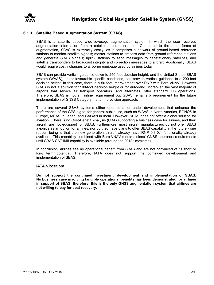![](_page_34_Picture_0.jpeg)

# **6.1.3 Satellite Based Augmentation System (SBAS)**

SBAS is a satellite based wide-coverage augmentation system in which the user receives augmentation information from a satellite-based transmitter. Compared to the other forms of augmentation, SBAS is extremely costly, as it comprises a network of ground-based reference stations to monitor satellite signals; master stations to process data from ground reference stations and generate SBAS signals; uplink stations to send messages to geostationary satellites, and satellite transponders to broadcast integrity and correction messages to aircraft. Additionally, SBAS would require costly changes to airborne equipage used by airlines today.

SBAS can provide vertical guidance down to 250-foot decision height, and the United States SBAS system (WAAS), under favourable specific conditions, can provide vertical guidance to a 200-foot decision height. In this case, there is a 50-foot improvement over RNP with Baro-VNAV. However SBAS is not a solution for 100-foot decision height or for auto-land. Moreover, the vast majority of airports that service air transport operators (and alternates) offer standard ILS operations. Therefore, SBAS is not an airline requirement but GBAS remains a requirement for the future implementation of GNSS Category II and III precision approach.

There are several SBAS systems either operational or under development that enhance the performance of the GPS signal for general public use, such as WAAS in North America, EGNOS in Europe, MSAS in Japan, and GAGAN in India. However, SBAS does not offer a global solution for aviation. There is no Cost-Benefit Analysis (CBA) supporting a business case for airlines, and their aircraft are not equipped for SBAS. Furthermore, most aircraft manufacturers do not offer SBAS avionics as an option for airlines, nor do they have plans to offer SBAS capability in the future - one reason being is that the new generation aircraft already have RNP 0.3-0.1 functionality already available. This capability combined with Baro-VNAV meets airlines' GNSS approach requirements until GBAS CAT II/III capability is available (around the 2013 timeframe).

In conclusion, airlines see no operational benefit from SBAS and are not convinced of its short or long term potential. Therefore, IATA does not support the continued development and implementation of SBAS.

#### **IATA's Position:**

**Do not support the continued investment, development and implementation of SBAS. No business case involving tangible operational benefits has been demonstrated for airlines in support of SBAS; therefore, this is the only GNSS augmentation system that airlines are not willing to pay for cost recovery.**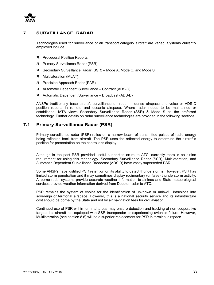![](_page_36_Picture_0.jpeg)

# **7. SURVEILLANCE: RADAR**

Technologies used for surveillance of air transport category aircraft are varied. Systems currently employed include:

- 7 Procedural Position Reports
- 7 Primary Surveillance Radar (PSR)
- $\overline{z}$  Secondary Surveillance Radar (SSR) Mode A, Mode C, and Mode S
- $7$  Multilateration (MLAT)
- 7 Precision Approach Radar (PAR)
- $\overline{z}$  Automatic Dependent Surveillance Contract (ADS-C)
- 7 Automatic Dependent Surveillance Broadcast (ADS-B)

ANSPs traditionally base aircraft surveillance on radar in dense airspace and voice or ADS-C position reports in remote and oceanic airspace. Where radar needs to be maintained or established, IATA views Secondary Surveillance Radar (SSR) & Mode S as the preferred technology. Further details on radar surveillance technologies are provided in the following sections.

# **7.1 Primary Surveillance Radar (PSR)**

Primary surveillance radar (PSR) relies on a narrow beam of transmitted pulses of radio energy being reflected back from aircraft. The PSR uses the reflected energy to determine the aircraft's position for presentation on the controller's display.

Although in the past PSR provided useful support to en-route ATC, currently there is no airline requirement for using this technology. Secondary Surveillance Radar (SSR), Multilateration, and Automatic Dependent Surveillance Broadcast (ADS-B) have vastly superseded PSR.

Some ANSPs have justified PSR retention on its ability to detect thunderstorms. However, PSR has limited storm penetration and it may sometimes display rudimentary (or false) thunderstorm activity. Airborne radar systems provide accurate weather information to airlines and State meteorological services provide weather information derived from Doppler radar to ATC.

PSR remains the system of choice for the identification of unknown or unlawful intrusions into sovereign or territorial airspace. However, this is a national security service and its infrastructure cost should be borne by the State and not by air navigation fees for civil aviation.

Continued use of PSR within terminal areas may ensure detection and tracking of non-cooperative targets i.e. aircraft not equipped with SSR transponder or experiencing avionics failure. However, Multilateration (see section 8.6) will be a superior replacement for PSR in terminal airspace.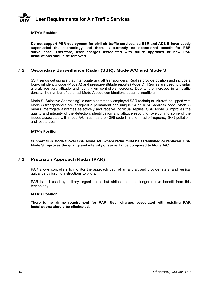#### **IATA's Position:**

**Do not support PSR deployment for civil air traffic services, as SSR and ADS-B have vastly superseded this technology and there is currently no operational benefit for PSR surveillance. Therefore, user charges associated with future upgrades or new PSR installations should be removed.** 

# **7.2 Secondary Surveillance Radar (SSR): Mode A/C and Mode S**

SSR sends out signals that interrogate aircraft transponders. Replies provide position and include a four-digit identity code (Mode A) and pressure-altitude reports (Mode C). Replies are used to display aircraft position, altitude and identity on controllers' screens. Due to the increase in air traffic density, the number of potential Mode A code combinations became insufficient.

Mode S (Selective Addressing) is now a commonly employed SSR technique. Aircraft equipped with Mode S transponders are assigned a permanent and unique 24-bit ICAO address code. Mode S radars interrogate airframes selectively and receive individual replies. SSR Mode S improves the quality and integrity of the detection, identification and altitude reporting, overcoming some of the issues associated with mode A/C, such as the 4096-code limitation, radio frequency (RF) pollution, and lost targets.

#### **IATA's Position:**

**Support SSR Mode S over SSR Mode A/C where radar must be established or replaced. SSR Mode S improves the quality and integrity of surveillance compared to Mode A/C.**

# **7.3 Precision Approach Radar (PAR)**

PAR allows controllers to monitor the approach path of an aircraft and provide lateral and vertical guidance by issuing instructions to pilots.

PAR is still used by military organisations but airline users no longer derive benefit from this technology.

#### **IATA's Position:**

**There is no airline requirement for PAR. User charges associated with existing PAR installations should be eliminated.**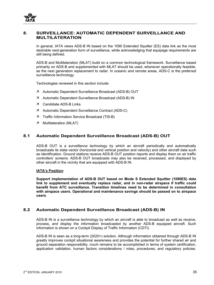![](_page_38_Picture_0.jpeg)

# **8. SURVEILLANCE: AUTOMATIC DEPENDENT SURVEILLANCE AND MULTILATERATION**

In general, IATA views ADS-B IN based on the 1090 Extended Squitter (ES) data link as the most desirable next-generation form of surveillance, while acknowledging that equipage requirements are still being defined.

ADS-B and Multilateration (MLAT) build on a common technological framework. Surveillance based primarily on ADS-B and supplemented with MLAT should be used, whenever operationally feasible, as the next generation replacement to radar. In oceanic and remote areas, ADS-C is the preferred surveillance technology.

Technologies reviewed in this section include:

- 7 Automatic Dependent Surveillance Broadcast (ADS-B) OUT
- 7 Automatic Dependent Surveillance Broadcast (ADS-B) IN
- 7 Candidate ADS-B Links
- 7 Automatic Dependent Surveillance Contract (ADS-C)
- 7 Traffic Information Service Broadcast (TIS-B)
- $7$  Multilateration (MLAT)

# **8.1 Automatic Dependent Surveillance Broadcast (ADS-B) OUT**

ADS-B OUT is a surveillance technology by which an aircraft periodically and automatically broadcasts its state vector (horizontal and vertical position and velocity) and other aircraft data such as identification. Ground stations receive ADS-B OUT position reports and display them on air traffic controllers' screens. ADS-B OUT broadcasts may also be received, processed, and displayed by other aircraft in the vicinity that are equipped with ADS-B IN.

#### **IATA's Position:**

**Support implementation of ADS-B OUT based on Mode S Extended Squitter (1090ES) data link to supplement and eventually replace radar, and in non-radar airspace if traffic could benefit from ATC surveillance. Transition timelines need to be determined in consultation with airspace users. Operational and maintenance savings should be passed on to airspace users***.* 

# **8.2 Automatic Dependent Surveillance Broadcast (ADS-B) IN**

ADS-B IN is a surveillance technology by which an aircraft is able to broadcast as well as receive, process, and display the information broadcasted by another ADS-B equipped aircraft. Such information is shown on a Cockpit Display of Traffic Information (CDTI).

ADS-B IN is seen as a long-term (2020+) solution. Although information obtained through ADS-B IN greatly improves cockpit situational awareness and provides the potential for further shared air and ground separation responsibility, much remains to be accomplished in terms of system certification, application validation, human factors considerations / roles, procedures, and regulatory policies.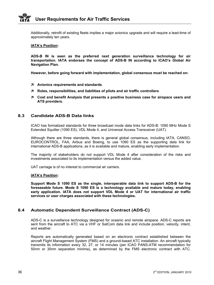Additionally, retrofit of existing fleets implies a major avionics upgrade and will require a lead-time of approximately ten years.

#### **IATA's Position:**

**ADS-B IN is seen as the preferred next generation surveillance technology for air transportation. IATA endorses the concept of ADS-B IN according to ICAO's Global Air Navigation Plan.** 

**However, before going forward with implementation, global consensus must be reached on:** 

- Ê **Avionics requirements and standards**
- Ê **Roles, responsibilities, and liabilities of pilots and air traffic controllers**
- Ê **Cost and benefit Analysis that presents a positive business case for airspace users and ATS providers.**

# **8.3 Candidate ADS-B Data links**

ICAO has formalized standards for three broadcast mode data links for ADS-B: 1090 MHz Mode S Extended Squitter (1090 ES), VDL Mode 4, and Universal Access Transceiver (UAT).

Although there are three standards, there is general global consensus, including IATA, CANSO, EUROCONTROL, FAA, Airbus and Boeing, to use 1090 ES as the supporting data link for international ADS-B applications, as it is available and mature, enabling early implementation.

The majority of stakeholders do not support VDL Mode 4 after consideration of the risks and investments associated to its implementation versus the added value.

UAT carriage is of no interest to commercial air carriers.

#### **IATA's Position:**

**Support Mode S 1090 ES as the single, interoperable data link to support ADS-B for the foreseeable future. Mode S 1090 ES is a technology available and mature today, enabling early application. IATA does not support VDL Mode 4 or UAT for international air traffic services or user charges associated with these technologies.** 

# **8.4 Automatic Dependent Surveillance Contract (ADS-C)**

ADS-C is a surveillance technology designed for oceanic and remote airspace. ADS-C reports are sent from the aircraft to ATC via a VHF or SatCom data link and include position, velocity, intent, and weather.

Reports are automatically generated based on an electronic contract established between the aircraft Flight Management System (FMS) and a ground-based ATC installation. An aircraft typically transmits its information every 32, 27, or 14 minutes (per ICAO PANS-ATM recommendation for 50nm or 30nm separation minima), as determined by the FMS electronic contract with ATC.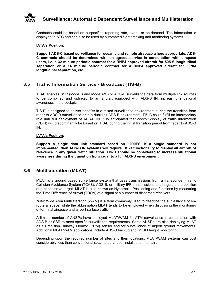Contracts could be based on a specified reporting rate, event, or on-demand. The information is displayed to ATC and can also be used by automated flight tracking and monitoring systems.

#### **IATA's Position:**

**Support ADS-C based surveillance for oceanic and remote airspace where appropriate. ADS-C contracts should be determined with an agreed service in consultation with airspace users, i.e. a 32 minute periodic contract for a RNP4 approved aircraft for 50NM longitudinal separation or a 14 minute periodic contract for a RNP4 approved aircraft for 30NM longitudinal separation, etc***.* 

# **8.5 Traffic Information Service - Broadcast (TIS-B)**

TIS-B enables SSR (Mode S and Mode A/C) or ADS-B surveillance data from multiple link sources to be combined and uplinked to an aircraft equipped with ADS-B IN, increasing situational awareness in the cockpit.

TIS-B is designed to deliver benefits in a mixed surveillance environment during the transition from radar to ADS-B surveillance or in a dual link ADS-B environment. TIS-B could fulfill an intermediary role until full deployment of ADS-B IN. It is anticipated that cockpit display of traffic information (CDTI) will predominantly be based on TIS-B during the initial transition period from radar to ADS-B IN.

#### **IATA's Position:**

**Support a single data link standard based on 1090ES. If a single standard is not implemented, then ADS-B IN systems will require TIS-B functionality to display all aircraft of relevance in any given traffic situation. TIS-B should be considered to increase situational awareness during the transition from radar to a full ADS-B environment.** 

# **8.6 Multilateration (MLAT)**

MLAT is a ground based surveillance system that uses transmissions from a transponder, Traffic Collision Avoidance System (TCAS), ADS-B, or military IFF transmissions to triangulate the position of a cooperative target. MLAT is also known as Hyperbolic Positioning and functions by measuring the Time Difference of Arrival (TDOA) of a signal at a number of dispersed receivers.

*Note*: Wide Area Multilateration (WAM) is a term commonly used to describe the surveillance of enroute airspace, while the abbreviation MLAT tends to be employed when discussing the monitoring of terminal airspace and airport surface traffic.

A limited number of ANSPs have deployed MLAT/WAM for ATM surveillance in combination with ADS-B or SSR to meet specific surveillance requirements. Some ANSPs are also deploying MLAT as a Precision Runway Monitor (PRM) sensor and for surveillance of airport ground movements. Additional MLAT/WAM applications include ADS-B backup and RVSM height monitoring.

Depending upon the required number of sites and their locations, MLAT/WAM systems can cost considerably less than conventional radar to purchase, install, and maintain.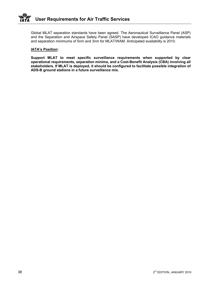Global MLAT separation standards have been agreed. The Aeronautical Surveillance Panel (ASP) and the Separation and Airspace Safety Panel (SASP) have developed ICAO guidance materials and separation minimums of 5nm and 3nm for MLAT/WAM. Anticipated availability is 2010.

#### **IATA's Position:**

**Support MLAT to meet specific surveillance requirements when supported by clear operational requirements, separation minima, and a Cost-Benefit Analysis (CBA) involving all stakeholders. If MLAT is deployed, it should be configured to facilitate possible integration of ADS-B ground stations in a future surveillance mix.**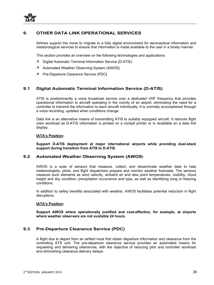![](_page_42_Picture_0.jpeg)

# **9. OTHER DATA LINK OPERATIONAL SERVICES**

Airlines support the move to migrate to a fully digital environment for aeronautical information and meteorological services to ensure that information is made available to the user in a timely manner.

This section provides an overview on the following technologies and applications:

- 7 Digital Automatic Terminal Information Service (D-ATIS)
- 7 Automated Weather Observing System (AWOS)
- Ê Pre-Departure Clearance Service (PDC**)**

# **9.1 Digital Automatic Terminal Information Service (D-ATIS)**

ATIS is predominantly a voice broadcast service over a dedicated VHF frequency that provides operational information to aircraft operating in the vicinity of an airport, eliminating the need for a controller to transmit the information to each aircraft individually. It is normally accomplished through a voice recording, updated when conditions change.

Data link is an alternative means of transmitting ATIS to suitably equipped aircraft. It reduces flight crew workload as D-ATIS information is printed on a cockpit printer or is recallable on a data link display.

#### **IATA's Position:**

**Support D-ATIS deployment at major international airports while providing dual-stack support during transition from ATIS to D-ATIS.** 

#### **9.2 Automated Weather Observing System (AWOS)**

AWOS is a suite of sensors that measure, collect, and disseminate weather data to help meteorologists, pilots, and flight dispatchers prepare and monitor weather forecasts. The sensors measure such elements as wind velocity, ambient air and dew point temperatures, visibility, cloud height and sky condition, precipitation occurrence and type, as well as identifying icing or freezing conditions.

In addition to safety benefits associated with weather, AWOS facilitates potential reduction in flight disruptions.

#### **IATA's Position:**

**Support AWOS where operationally justified and cost-effective, for example, at airports where weather observers are not available 24 hours.** 

# **9.3 Pre-Departure Clearance Service (PDC)**

A flight due to depart from an airfield must first obtain departure information and clearance from the controlling ATS unit. The pre-departure clearance service provides an automated means for requesting and delivering clearances, with the objective of reducing pilot and controller workload and diminishing clearance delivery delays.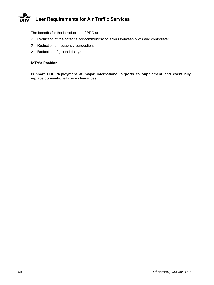The benefits for the introduction of PDC are:

- $\overline{z}$  Reduction of the potential for communication errors between pilots and controllers;
- 7 Reduction of frequency congestion;
- $7$  Reduction of ground delays.

# **IATA's Position:**

**Support PDC deployment at major international airports to supplement and eventually replace conventional voice clearances.**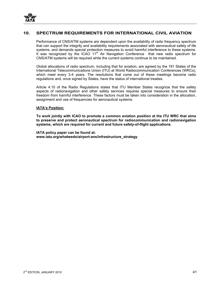# **10. SPECTRUM REQUIREMENTS FOR INTERNATIONAL CIVIL AVIATION**

Performance of CNS/ATM systems are dependent upon the availability of radio frequency spectrum that can support the integrity and availability requirements associated with aeronautical safety of life systems, and demands special protection measures to avoid harmful interference to these systems. It was recognized by the ICAO 11<sup>th</sup> Air Navigation Conference that new radio spectrum for CNS/ATM systems will be required while the current systems continue to be maintained.

Global allocations of radio spectrum, including that for aviation, are agreed by the 191 States of the International Telecommunications Union (ITU) at World Radiocommunication Conferences (WRCs), which meet every 3-4 years. The resolutions that come out of these meetings become radio regulations and, once signed by States, have the status of international treaties.

Article 4.10 of the Radio Regulations states that ITU Member States recognize that the safety aspects of radionavigation and other safety services requires special measures to ensure their freedom from harmful interference. These factors must be taken into consideration in the allocation, assignment and use of frequencies for aeronautical systems.

#### **IATA's Position:**

**To work jointly with ICAO to promote a common aviation position at the ITU WRC that aims to preserve and protect aeronautical spectrum for radiocommunication and radionavigation systems, which are required for current and future safety-of-flight applications**.

**IATA policy paper can be found at: www.iata.org/whatwedo/airport-ans/infrastructure\_strategy**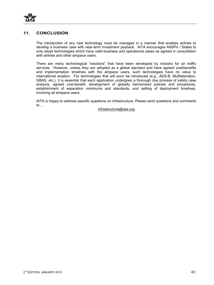![](_page_46_Picture_0.jpeg)

# **11. CONCLUSION**

The introduction of any new technology must be managed in a manner that enables airlines to develop a business case with near-term investment payback. IATA encourages ANSPs / States to only adopt technologies which have valid business and operational cases as agreed in consultation with airlines and other airspace users.

There are many technological "solutions" that have been developed by industry for air traffic services. However, unless they are adopted as a global standard and have agreed cost/benefits and implementation timelines with the airspace users, such technologies have no value to international aviation. For technologies that will soon be introduced (e.g., ADS-B, Multilateration, GBAS, etc.), it is essential that each application undergoes a thorough due process of safety case analysis, agreed cost-benefit, development of globally harmonized policies and procedures, establishment of separation minimums and standards, and setting of deployment timelines, involving all airspace users.

IATA is happy to address specific questions on infrastructure. Please send questions and comments to…

infrastructure@iata.org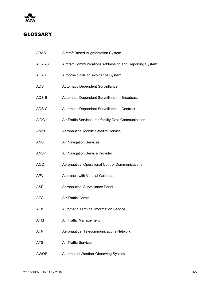![](_page_48_Picture_0.jpeg)

# GLOSSARY

| <b>ABAS</b>  | <b>Aircraft Based Augmentation System</b>               |
|--------------|---------------------------------------------------------|
| <b>ACARS</b> | Aircraft Communications Addressing and Reporting System |
| <b>ACAS</b>  | Airborne Collision Avoidance System                     |
| <b>ADS</b>   | Automatic Dependent Surveillance                        |
| ADS-B        | Automatic Dependent Surveillance - Broadcast            |
| ADS-C        | Automatic Dependent Surveillance - Contract             |
| <b>AIDC</b>  | Air Traffic Services Interfacility Data Communication   |
| <b>AMSS</b>  | Aeronautical Mobile Satellite Service                   |
| <b>ANS</b>   | <b>Air Navigation Services</b>                          |
| <b>ANSP</b>  | Air Navigation Service Provider                         |
| <b>AOC</b>   | <b>Aeronautical Operational Control Communications</b>  |
| <b>APV</b>   | Approach with Vertical Guidance                         |
| ASP          | <b>Aeronautical Surveillance Panel</b>                  |
| <b>ATC</b>   | <b>Air Traffic Control</b>                              |
| <b>ATIS</b>  | <b>Automatic Terminal Information Service</b>           |
| <b>ATM</b>   | Air Traffic Management                                  |
| <b>ATN</b>   | <b>Aeronautical Telecommunications Network</b>          |
| <b>ATS</b>   | <b>Air Traffic Services</b>                             |
| <b>AWOS</b>  | Automated Weather Observing System                      |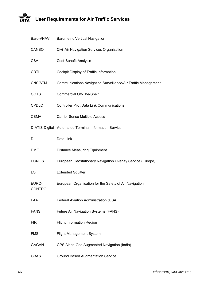#### $\clubsuit$ **User Requirements for Air Traffic Services IATA**

| Baro-VNAV               | <b>Barometric Vertical Navigation</b>                         |
|-------------------------|---------------------------------------------------------------|
| CANSO                   | Civil Air Navigation Services Organization                    |
| <b>CBA</b>              | <b>Cost-Benefit Analysis</b>                                  |
| <b>CDTI</b>             | Cockpit Display of Traffic Information                        |
| CNS/ATM                 | Communications Navigation Surveillance/Air Traffic Management |
| <b>COTS</b>             | <b>Commercial Off-The-Shelf</b>                               |
| <b>CPDLC</b>            | <b>Controller Pilot Data Link Communications</b>              |
| <b>CSMA</b>             | <b>Carrier Sense Multiple Access</b>                          |
|                         | D-ATIS Digital - Automated Terminal Information Service       |
| DL                      | Data Link                                                     |
| <b>DME</b>              | <b>Distance Measuring Equipment</b>                           |
| <b>EGNOS</b>            | European Geostationary Navigation Overlay Service (Europe)    |
| ES                      | <b>Extended Squitter</b>                                      |
| EURO-<br><b>CONTROL</b> | European Organisation for the Safety of Air Navigation        |
| <b>FAA</b>              | Federal Aviation Administration (USA)                         |
| <b>FANS</b>             | Future Air Navigation Systems (FANS)                          |
| <b>FIR</b>              | <b>Flight Information Region</b>                              |
| <b>FMS</b>              | <b>Flight Management System</b>                               |
| <b>GAGAN</b>            | GPS Aided Geo Augmented Navigation (India)                    |
| <b>GBAS</b>             | <b>Ground Based Augmentation Service</b>                      |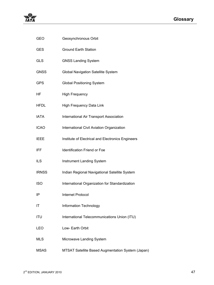| <b>GEO</b>   | Geosynchronous Orbit                              |
|--------------|---------------------------------------------------|
| <b>GES</b>   | <b>Ground Earth Station</b>                       |
| <b>GLS</b>   | <b>GNSS Landing System</b>                        |
| <b>GNSS</b>  | Global Navigation Satellite System                |
| <b>GPS</b>   | <b>Global Positioning System</b>                  |
| <b>HF</b>    | <b>High Frequency</b>                             |
| <b>HFDL</b>  | High Frequency Data Link                          |
| <b>IATA</b>  | International Air Transport Association           |
| <b>ICAO</b>  | International Civil Aviation Organization         |
| <b>IEEE</b>  | Institute of Electrical and Electronics Engineers |
| <b>IFF</b>   | Identification Friend or Foe                      |
| <b>ILS</b>   | Instrument Landing System                         |
| <b>IRNSS</b> | Indian Regional Navigational Satellite System     |
| <b>ISO</b>   | International Organization for Standardization    |
| IP           | <b>Internet Protocol</b>                          |
| IT           | Information Technology                            |
| <b>ITU</b>   | International Telecommunications Union (ITU)      |
| <b>LEO</b>   | Low- Earth Orbit                                  |
| <b>MLS</b>   | Microwave Landing System                          |
| <b>MSAS</b>  | MTSAT Satellite Based Augmentation System (Japan) |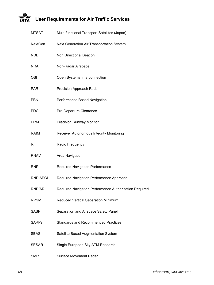#### Ŵ, **User Requirements for Air Traffic Services IATA**

| <b>MTSAT</b>    | Multi-functional Transport Satellites (Japan)          |
|-----------------|--------------------------------------------------------|
| <b>NextGen</b>  | Next Generation Air Transportation System              |
| <b>NDB</b>      | Non Directional Beacon                                 |
| <b>NRA</b>      | Non-Radar Airspace                                     |
| <b>OSI</b>      | Open Systems Interconnection                           |
| <b>PAR</b>      | Precision Approach Radar                               |
| <b>PBN</b>      | Performance Based Navigation                           |
| <b>PDC</b>      | Pre-Departure Clearance                                |
| <b>PRM</b>      | <b>Precision Runway Monitor</b>                        |
| <b>RAIM</b>     | Receiver Autonomous Integrity Monitoring               |
| <b>RF</b>       | Radio Frequency                                        |
| <b>RNAV</b>     | Area Navigation                                        |
| <b>RNP</b>      | Required Navigation Performance                        |
| <b>RNP APCH</b> | Required Navigation Performance Approach               |
| RNP/AR          | Required Navigation Performance Authorization Required |
| <b>RVSM</b>     | Reduced Vertical Separation Minimum                    |
| <b>SASP</b>     | Separation and Airspace Safety Panel                   |
| <b>SARPs</b>    | <b>Standards and Recommended Practices</b>             |
| <b>SBAS</b>     | Satellite Based Augmentation System                    |
| <b>SESAR</b>    | Single European Sky ATM Research                       |
| <b>SMR</b>      | <b>Surface Movement Radar</b>                          |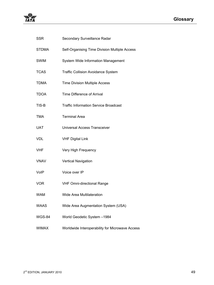| жY<br>w              |
|----------------------|
| 74 J<br>٠,<br>2<br>л |

| <b>SSR</b>    | Secondary Surveillance Radar                    |
|---------------|-------------------------------------------------|
| <b>STDMA</b>  | Self-Organising Time Division Multiple Access   |
| <b>SWIM</b>   | System Wide Information Management              |
| <b>TCAS</b>   | <b>Traffic Collision Avoidance System</b>       |
| <b>TDMA</b>   | <b>Time Division Multiple Access</b>            |
| <b>TDOA</b>   | Time Difference of Arrival                      |
| TIS-B         | <b>Traffic Information Service Broadcast</b>    |
| <b>TMA</b>    | <b>Terminal Area</b>                            |
| <b>UAT</b>    | <b>Universal Access Transceiver</b>             |
| <b>VDL</b>    | <b>VHF Digital Link</b>                         |
| <b>VHF</b>    | Very High Frequency                             |
| <b>VNAV</b>   | <b>Vertical Navigation</b>                      |
| VoIP          | Voice over IP                                   |
| <b>VOR</b>    | <b>VHF Omni-directional Range</b>               |
| <b>WAM</b>    | <b>Wide Area Multilateration</b>                |
| <b>WAAS</b>   | Wide Area Augmentation System (USA)             |
| <b>WGS-84</b> | World Geodetic System -1984                     |
| <b>WIMAX</b>  | Worldwide Interoperability for Microwave Access |